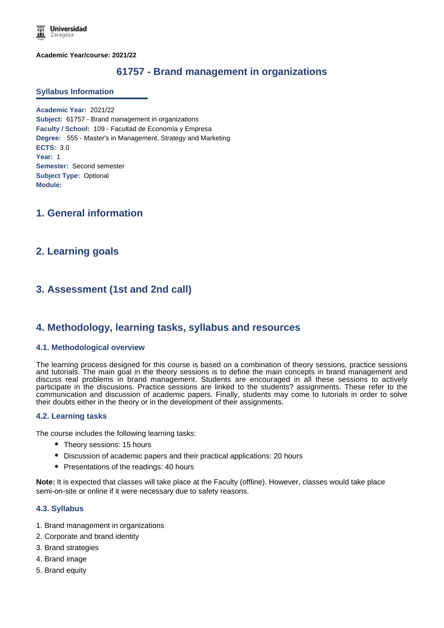**Academic Year/course: 2021/22**

# **61757 - Brand management in organizations**

#### **Syllabus Information**

**Academic Year:** 2021/22 **Subject:** 61757 - Brand management in organizations **Faculty / School:** 109 - Facultad de Economía y Empresa **Degree:** 555 - Master's in Management, Strategy and Marketing **ECTS:** 3.0 **Year:** 1 **Semester:** Second semester **Subject Type:** Optional **Module:**

## **1. General information**

## **2. Learning goals**

# **3. Assessment (1st and 2nd call)**

## **4. Methodology, learning tasks, syllabus and resources**

#### **4.1. Methodological overview**

The learning process designed for this course is based on a combination of theory sessions, practice sessions and tutorials. The main goal in the theory sessions is to define the main concepts in brand management and discuss real problems in brand management. Students are encouraged in all these sessions to actively participate in the discusions. Practice sessions are linked to the students? assignments. These refer to the communication and discussion of academic papers. Finally, students may come to tutorials in order to solve their doubts either in the theory or in the development of their assignments.

### **4.2. Learning tasks**

The course includes the following learning tasks:

- Theory sessions: 15 hours
- Discussion of academic papers and their practical applications: 20 hours
- Presentations of the readings: 40 hours

**Note:** It is expected that classes will take place at the Faculty (offline). However, classes would take place semi-on-site or online if it were necessary due to safety reasons.

### **4.3. Syllabus**

- 1. Brand management in organizations
- 2. Corporate and brand identity
- 3. Brand strategies
- 4. Brand image
- 5. Brand equity